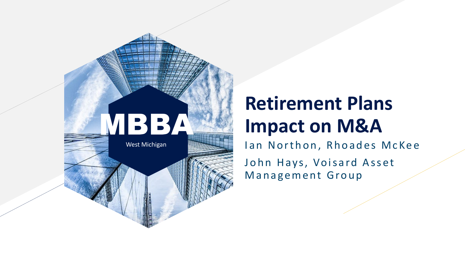# VIBS B

West Michigan

雅

# **Retirement Plans Impact on M&A**

Ian Northon, Rhoades McKee

John Hays, Voisard Asset Management Group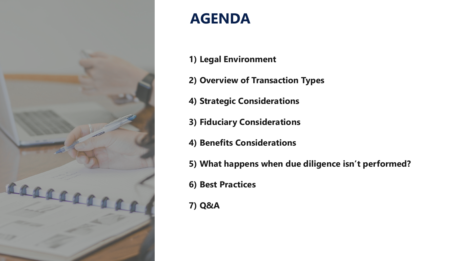

## **AGENDA**

### **1) Legal Environment**

- 
- **2) Overview of Transaction Types**
- **4) Strategic Considerations**
- **3) Fiduciary Considerations**
- **4) Benefits Considerations**
- **5) What happens when due diligence isn't performed?**
- **6) Best Practices**
- **7) Q&A**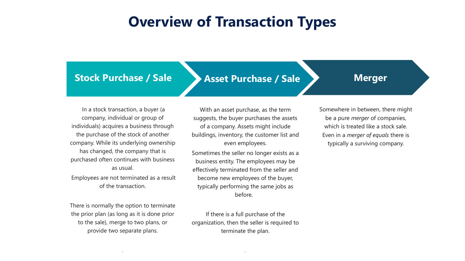# **Overview of Transaction Types**

### **Stock Purchase / Sale**

In a stock transaction, a buyer (a company, individual or group of individuals) acquires a business through the purchase of the stock of another company. While its underlying ownership has changed, the company that is purchased often continues with business as usual.

Employees are not terminated as a result of the transaction.

There is normally the option to terminate the prior plan (as long as it is done prior to the sale), merge to two plans, or provide two separate plans.

.

Somewhere in between, there might be a pure *merger* of companies, which is treated like a stock sale. Even in a *merger of equals* there is typically a surviving company.

With an asset purchase, as the term suggests, the buyer purchases the assets of a company. Assets might include buildings, inventory, the customer list and even employees.

Sometimes the seller no longer exists as a business entity. The employees may be effectively terminated from the seller and become new employees of the buyer, typically performing the same jobs as before.

If there is a full purchase of the organization, then the seller is required to terminate the plan.

.

### Asset Purchase / Sale **X** Merger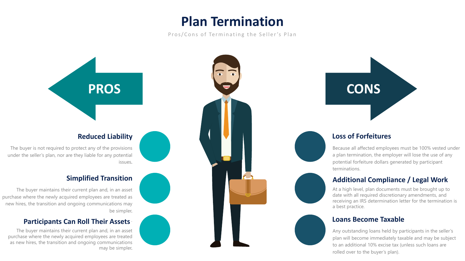





### **Plan Termination** Pros/Cons of Terminating the Seller's Plan



### **Reduced Liability**

The buyer is not required to protect any of the provisions under the seller's plan, nor are they liable for any potential issues.

### **Simplified Transition**

The buyer maintains their current plan and, in an asset purchase where the newly acquired employees are treated as new hires, the transition and ongoing communications may be simpler.

### **Participants Can Roll Their Assets**.

The buyer maintains their current plan and, in an asset purchase where the newly acquired employees are treated as new hires, the transition and ongoing communications may be simpler.







### **Loss of Forfeitures**

Because all affected employees must be 100% vested under a plan termination, the employer will lose the use of any potential forfeiture dollars generated by participant terminations.

### **Additional Compliance / Legal Work**

At a high level, plan documents must be brought up to date with all required discretionary amendments, and receiving an IRS determination letter for the termination is a best practice.

### **Loans Become Taxable**

Any outstanding loans held by participants in the seller's plan will become immediately taxable and may be subject to an additional 10% excise tax (unless such loans are rolled over to the buyer's plan).





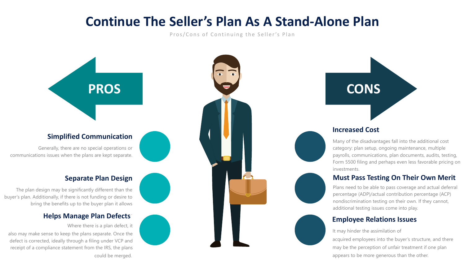# **Continue The Seller's Plan As A Stand-Alone Plan**

Pros/Cons of Continuing the Seller's Plan











### **Simplified Communication**

Generally, there are no special operations or communications issues when the plans are kept separate.

### **Separate Plan Design**

The plan design may be significantly different than the buyer's plan. Additionally, if there is not funding or desire to bring the benefits up to the buyer plan it allows

### . **Helps Manage Plan Defects**

Where there is a plan defect, it

also may make sense to keep the plans separate. Once the defect is corrected, ideally through a filing under VCP and receipt of a compliance statement from the IRS, the plans could be merged.





### **Increased Cost**

Many of the disadvantages fall into the additional cost category: plan setup, ongoing maintenance, multiple payrolls, communications, plan documents, audits, testing, Form 5500 filing and perhaps even less favorable pricing on investments.

**Must Pass Testing On Their Own Merit** Plans need to be able to pass coverage and actual deferral percentage (ADP)/actual contribution percentage (ACP) nondiscrimination testing on their own. If they cannot, additional testing issues come into play.

### **Employee Relations Issues**

It may hinder the assimilation of

acquired employees into the buyer's structure, and there may be the perception of unfair treatment if one plan appears to be more generous than the other.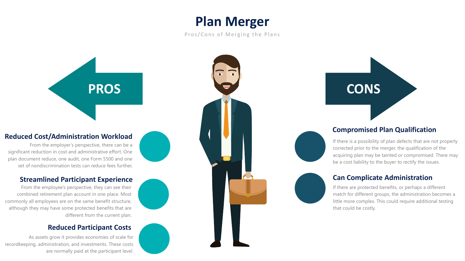Pros/Cons of Merging the Plans









### **Reduced Cost/Administration Workload**

From the employer's perspective, there can be a significant reduction in cost and administrative effort. One plan document reduce, one audit, one Form 5500 and one set of nondiscrimination tests can reduce fees further.

### **Streamlined Participant Experience**

From the employee's perspective, they can see their combined retirement plan account in one place. Most commonly all employees are on the same benefit structure, although they may have some protected benefits that are different from the current plan.

If there is a possibility of plan defects that are not properly corrected prior to the merger, the qualification of the acquiring plan may be tainted or compromised. There may be a cost liability to the buyer to rectify the issues.

### . **Reduced Participant Costs**

As assets grow it provides economies of scale for recordkeeping, administration, and investments. These costs are normally paid at the participant level.







# **Plan Merger**

### **Compromised Plan Qualification**



If there are protected benefits, or perhaps a different match for different groups, the administration becomes a little more complex. This could require additional testing that could be costly.



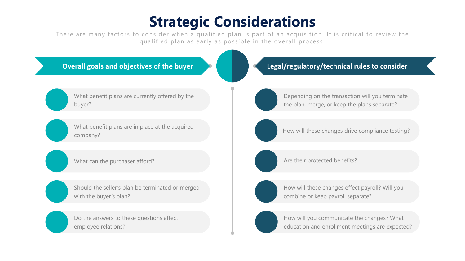# **Strategic Considerations**



There are many factors to consider when a qualified plan is part of an acquisition. It is critical to review the qualified plan as early as possible in the overall process.

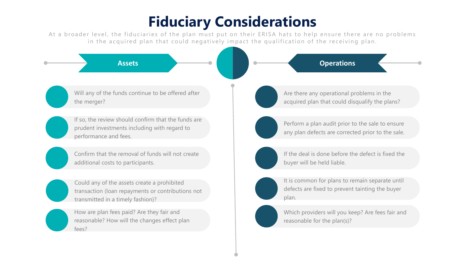# **Fiduciary Considerations**



At a broader level, the fiduciaries of the plan must put on their ERISA hats to help ensure there are no problems in the acquired plan that could negatively impact the qualification of the receiving plan.



fees?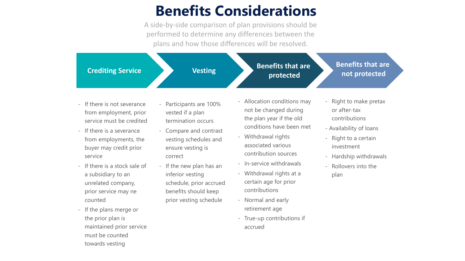- If there is not severance from employment, prior service must be credited
- If there is a severance from employments, the buyer may credit prior service
- If there is a stock sale of a subsidiary to an unrelated company, prior service may ne counted
- If the plans merge or the prior plan is maintained prior service must be counted towards vesting

### **Crediting Service**

- 
- Allocation conditions may not be changed during the plan year if the old conditions have been met
- Withdrawal rights associated various contribution sources
- In-service withdrawals
- Withdrawal rights at a certain age for prior contributions
- Normal and early retirement age
- True-up contributions if accrued
- Participants are 100% vested if a plan termination occurs
- Compare and contrast vesting schedules and ensure vesting is correct
- If the new plan has an inferior vesting schedule, prior accrued benefits should keep prior vesting schedule

**Benefits that are protected**

**Benefits that are not protected**

- Right to make pretax or after-tax contributions
- Availability of loans
- Right to a certain investment
- Hardship withdrawals
- Rollovers into the plan

**Vesting**

# **Benefits Considerations**

A side-by-side comparison of plan provisions should be performed to determine any differences between the plans and how those differences will be resolved.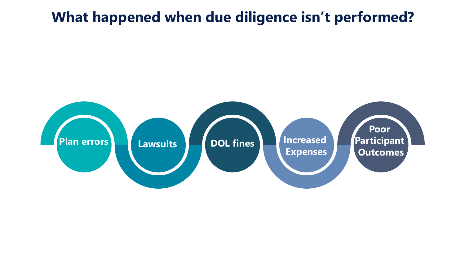

# **What happened when due diligence isn't performed?**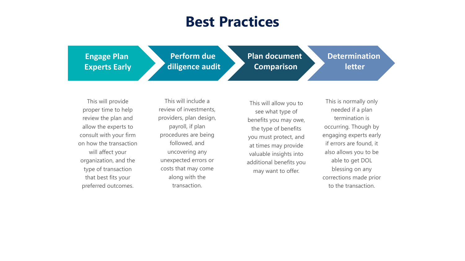## **Best Practices**

This will include a review of investments, providers, plan design, payroll, if plan procedures are being followed, and uncovering any unexpected errors or costs that may come along with the transaction.

### **Engage Plan Experts Early**

This will provide proper time to help review the plan and allow the experts to consult with your firm on how the transaction will affect your organization, and the type of transaction that best fits your preferred outcomes.

**Plan document Comparison**

This will allow you to see what type of benefits you may owe, the type of benefits you must protect, and at times may provide valuable insights into additional benefits you may want to offer.

### **Determination letter**

This is normally only needed if a plan termination is occurring. Though by engaging experts early if errors are found, it also allows you to be able to get DOL blessing on any corrections made prior to the transaction.

### **Perform due diligence audit**